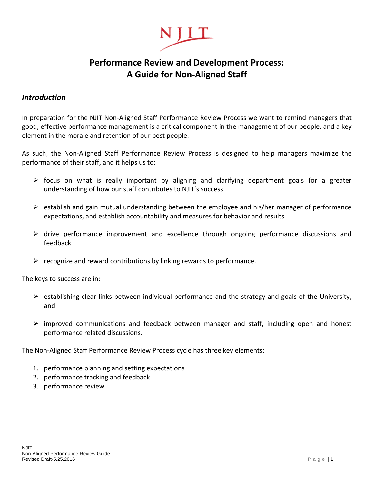

# **Performance Review and Development Process: A Guide for Non-Aligned Staff**

#### *Introduction*

In preparation for the NJIT Non-Aligned Staff Performance Review Process we want to remind managers that good, effective performance management is a critical component in the management of our people, and a key element in the morale and retention of our best people.

As such, the Non-Aligned Staff Performance Review Process is designed to help managers maximize the performance of their staff, and it helps us to:

- $\triangleright$  focus on what is really important by aligning and clarifying department goals for a greater understanding of how our staff contributes to NJIT's success
- $\triangleright$  establish and gain mutual understanding between the employee and his/her manager of performance expectations, and establish accountability and measures for behavior and results
- $\triangleright$  drive performance improvement and excellence through ongoing performance discussions and feedback
- $\triangleright$  recognize and reward contributions by linking rewards to performance.

The keys to success are in:

- $\triangleright$  establishing clear links between individual performance and the strategy and goals of the University, and
- $\triangleright$  improved communications and feedback between manager and staff, including open and honest performance related discussions.

The Non-Aligned Staff Performance Review Process cycle has three key elements:

- 1. performance planning and setting expectations
- 2. performance tracking and feedback
- 3. performance review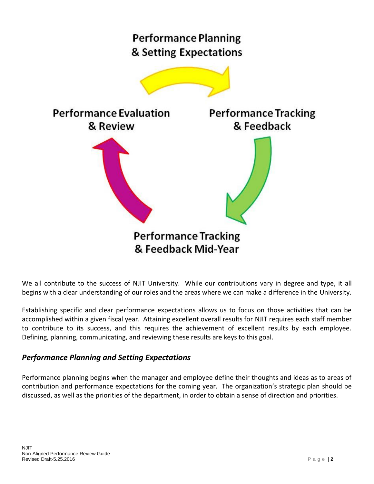

We all contribute to the success of NJIT University. While our contributions vary in degree and type, it all begins with a clear understanding of our roles and the areas where we can make a difference in the University.

Establishing specific and clear performance expectations allows us to focus on those activities that can be accomplished within a given fiscal year. Attaining excellent overall results for NJIT requires each staff member to contribute to its success, and this requires the achievement of excellent results by each employee. Defining, planning, communicating, and reviewing these results are keys to this goal.

# *Performance Planning and Setting Expectations*

Performance planning begins when the manager and employee define their thoughts and ideas as to areas of contribution and performance expectations for the coming year. The organization's strategic plan should be discussed, as well as the priorities of the department, in order to obtain a sense of direction and priorities.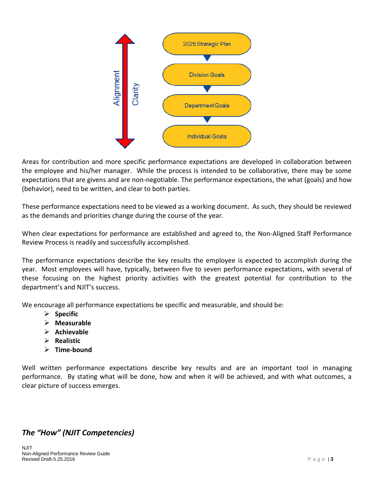

Areas for contribution and more specific performance expectations are developed in collaboration between the employee and his/her manager. While the process is intended to be collaborative, there may be some expectations that are givens and are non-negotiable. The performance expectations, the what (goals) and how (behavior), need to be written, and clear to both parties.

These performance expectations need to be viewed as a working document. As such, they should be reviewed as the demands and priorities change during the course of the year.

When clear expectations for performance are established and agreed to, the Non-Aligned Staff Performance Review Process is readily and successfully accomplished.

The performance expectations describe the key results the employee is expected to accomplish during the year. Most employees will have, typically, between five to seven performance expectations, with several of these focusing on the highest priority activities with the greatest potential for contribution to the department's and NJIT's success.

We encourage all performance expectations be specific and measurable, and should be:

- **Specific**
- **Measurable**
- **Achievable**
- **Realistic**
- **Time-bound**

Well written performance expectations describe key results and are an important tool in managing performance. By stating what will be done, how and when it will be achieved, and with what outcomes, a clear picture of success emerges.

# *The "How" (NJIT Competencies)*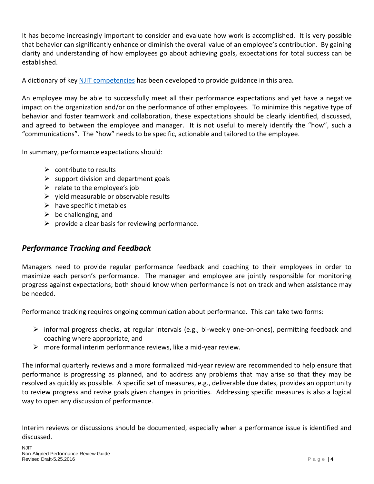It has become increasingly important to consider and evaluate how work is accomplished. It is very possible that behavior can significantly enhance or diminish the overall value of an employee's contribution. By gaining clarity and understanding of how employees go about achieving goals, expectations for total success can be established.

A dictionary of key [NJIT competencies](http://hr.njit.edu/wp-content/uploads/2017/09/PERFORMANCE-EVALUATION-COMPETENCIES-DICTIONARY.pdf) has been developed to provide guidance in this area.

An employee may be able to successfully meet all their performance expectations and yet have a negative impact on the organization and/or on the performance of other employees. To minimize this negative type of behavior and foster teamwork and collaboration, these expectations should be clearly identified, discussed, and agreed to between the employee and manager. It is not useful to merely identify the "how", such a "communications". The "how" needs to be specific, actionable and tailored to the employee.

In summary, performance expectations should:

- $\triangleright$  contribute to results
- $\triangleright$  support division and department goals
- $\triangleright$  relate to the employee's job
- $\triangleright$  vield measurable or observable results
- $\triangleright$  have specific timetables
- $\triangleright$  be challenging, and
- $\triangleright$  provide a clear basis for reviewing performance.

## *Performance Tracking and Feedback*

Managers need to provide regular performance feedback and coaching to their employees in order to maximize each person's performance. The manager and employee are jointly responsible for monitoring progress against expectations; both should know when performance is not on track and when assistance may be needed.

Performance tracking requires ongoing communication about performance. This can take two forms:

- $\triangleright$  informal progress checks, at regular intervals (e.g., bi-weekly one-on-ones), permitting feedback and coaching where appropriate, and
- $\triangleright$  more formal interim performance reviews, like a mid-year review.

The informal quarterly reviews and a more formalized mid-year review are recommended to help ensure that performance is progressing as planned, and to address any problems that may arise so that they may be resolved as quickly as possible. A specific set of measures, e.g., deliverable due dates, provides an opportunity to review progress and revise goals given changes in priorities. Addressing specific measures is also a logical way to open any discussion of performance.

Interim reviews or discussions should be documented, especially when a performance issue is identified and discussed.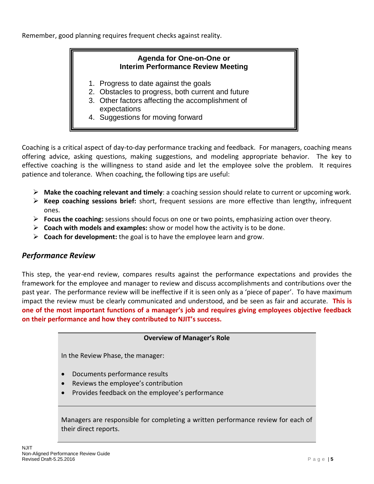Remember, good planning requires frequent checks against reality.

## **Agenda for One-on-One or Interim Performance Review Meeting**

- 1. Progress to date against the goals
- 2. Obstacles to progress, both current and future
- 3. Other factors affecting the accomplishment of expectations
- 4. Suggestions for moving forward

Coaching is a critical aspect of day-to-day performance tracking and feedback. For managers, coaching means offering advice, asking questions, making suggestions, and modeling appropriate behavior. The key to effective coaching is the willingness to stand aside and let the employee solve the problem. It requires patience and tolerance. When coaching, the following tips are useful:

- **Make the coaching relevant and timely**: a coaching session should relate to current or upcoming work.
- **Keep coaching sessions brief:** short, frequent sessions are more effective than lengthy, infrequent ones.
- **Focus the coaching:** sessions should focus on one or two points, emphasizing action over theory.
- **Coach with models and examples:** show or model how the activity is to be done.
- $\triangleright$  Coach for development: the goal is to have the employee learn and grow.

## *Performance Review*

This step, the year-end review, compares results against the performance expectations and provides the framework for the employee and manager to review and discuss accomplishments and contributions over the past year. The performance review will be ineffective if it is seen only as a 'piece of paper'. To have maximum impact the review must be clearly communicated and understood, and be seen as fair and accurate. **This is one of the most important functions of a manager's job and requires giving employees objective feedback on their performance and how they contributed to NJIT's success.**

#### **Overview of Manager's Role**

In the Review Phase, the manager:

- Documents performance results
- Reviews the employee's contribution
- Provides feedback on the employee's performance

Managers are responsible for completing a written performance review for each of their direct reports.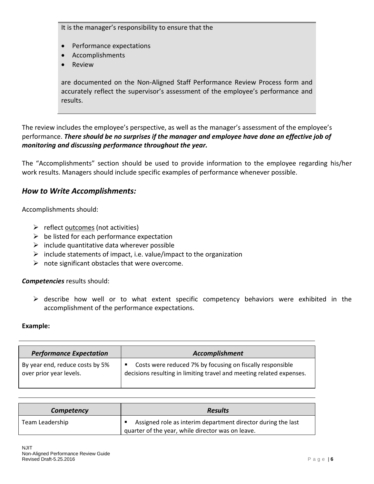It is the manager's responsibility to ensure that the

- Performance expectations
- Accomplishments
- Review

are documented on the Non-Aligned Staff Performance Review Process form and accurately reflect the supervisor's assessment of the employee's performance and results.

The review includes the employee's perspective, as well as the manager's assessment of the employee's performance. *There should be no surprises if the manager and employee have done an effective job of monitoring and discussing performance throughout the year.* 

The "Accomplishments" section should be used to provide information to the employee regarding his/her work results. Managers should include specific examples of performance whenever possible.

### *How to Write Accomplishments:*

Accomplishments should:

- $\triangleright$  reflect <u>outcomes</u> (not activities)
- $\triangleright$  be listed for each performance expectation
- $\triangleright$  include quantitative data wherever possible
- $\triangleright$  include statements of impact, i.e. value/impact to the organization
- $\triangleright$  note significant obstacles that were overcome.

#### *Competencies* results should:

 $\triangleright$  describe how well or to what extent specific competency behaviors were exhibited in the accomplishment of the performance expectations.

#### **Example:**

| <b>Performance Expectation</b>  | Accomplishment                                                       |
|---------------------------------|----------------------------------------------------------------------|
| By year end, reduce costs by 5% | Costs were reduced 7% by focusing on fiscally responsible            |
| over prior year levels.         | decisions resulting in limiting travel and meeting related expenses. |

| Competency      | <b>Results</b>                                                                                                    |
|-----------------|-------------------------------------------------------------------------------------------------------------------|
| Team Leadership | Assigned role as interim department director during the last<br>quarter of the year, while director was on leave. |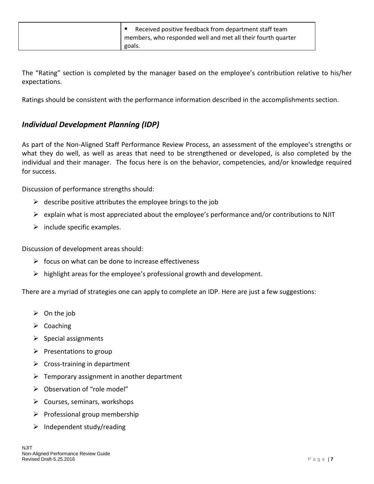| Received positive feedback from department staff team<br>members, who responded well and met all their fourth quarter |
|-----------------------------------------------------------------------------------------------------------------------|
| goals.                                                                                                                |

The "Rating" section is completed by the manager based on the employee's contribution relative to his/her expectations.

Ratings should be consistent with the performance information described in the accomplishments section.

## *Individual Development Planning (IDP)*

As part of the Non-Aligned Staff Performance Review Process, an assessment of the employee's strengths or what they do well, as well as areas that need to be strengthened or developed, is also completed by the individual and their manager. The focus here is on the behavior, competencies, and/or knowledge required for success.

Discussion of performance strengths should:

- $\triangleright$  describe positive attributes the employee brings to the job
- $\triangleright$  explain what is most appreciated about the employee's performance and/or contributions to NJIT
- $\triangleright$  include specific examples.

Discussion of development areas should:

- $\triangleright$  focus on what can be done to increase effectiveness
- $\triangleright$  highlight areas for the employee's professional growth and development.

There are a myriad of strategies one can apply to complete an IDP. Here are just a few suggestions:

- $\triangleright$  On the job
- $\triangleright$  Coaching
- $\triangleright$  Special assignments
- $\triangleright$  Presentations to group
- $\triangleright$  Cross-training in department
- $\triangleright$  Temporary assignment in another department
- $\triangleright$  Observation of "role model"
- $\triangleright$  Courses, seminars, workshops
- $\triangleright$  Professional group membership
- $\triangleright$  Independent study/reading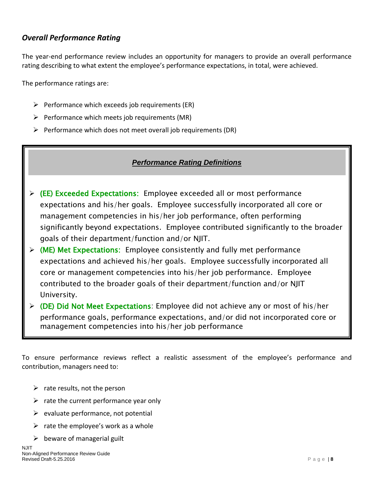## *Overall Performance Rating*

The year-end performance review includes an opportunity for managers to provide an overall performance rating describing to what extent the employee's performance expectations, in total, were achieved.

The performance ratings are:

- $\triangleright$  Performance which exceeds job requirements (ER)
- $\triangleright$  Performance which meets job requirements (MR)
- $\triangleright$  Performance which does not meet overall job requirements (DR)

#### *Performance Rating Definitions*

- **(**EE) Exceeded Expectations: Employee exceeded all or most performance expectations and his/her goals. Employee successfully incorporated all core or management competencies in his/her job performance, often performing significantly beyond expectations. Employee contributed significantly to the broader goals of their department/function and/or NJIT.
- $\triangleright$  (ME) Met Expectations: Employee consistently and fully met performance expectations and achieved his/her goals. Employee successfully incorporated all core or management competencies into his/her job performance. Employee contributed to the broader goals of their department/function and/or NJIT University.
- $\triangleright$  (DE) Did Not Meet Expectations: Employee did not achieve any or most of his/her performance goals, performance expectations, and/or did not incorporated core or management competencies into his/her job performance

To ensure performance reviews reflect a realistic assessment of the employee's performance and contribution, managers need to:

- $\triangleright$  rate results, not the person
- $\triangleright$  rate the current performance year only
- $\triangleright$  evaluate performance, not potential
- $\triangleright$  rate the employee's work as a whole
- $\triangleright$  beware of managerial guilt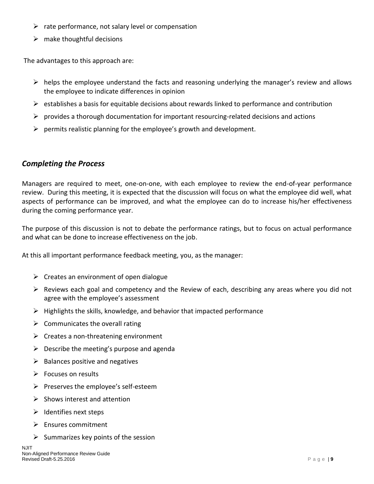- $\triangleright$  rate performance, not salary level or compensation
- $\triangleright$  make thoughtful decisions

The advantages to this approach are:

- $\triangleright$  helps the employee understand the facts and reasoning underlying the manager's review and allows the employee to indicate differences in opinion
- $\triangleright$  establishes a basis for equitable decisions about rewards linked to performance and contribution
- $\triangleright$  provides a thorough documentation for important resourcing-related decisions and actions
- $\triangleright$  permits realistic planning for the employee's growth and development.

## *Completing the Process*

Managers are required to meet, one-on-one, with each employee to review the end-of-year performance review. During this meeting, it is expected that the discussion will focus on what the employee did well, what aspects of performance can be improved, and what the employee can do to increase his/her effectiveness during the coming performance year.

The purpose of this discussion is not to debate the performance ratings, but to focus on actual performance and what can be done to increase effectiveness on the job.

At this all important performance feedback meeting, you, as the manager:

- $\triangleright$  Creates an environment of open dialogue
- $\triangleright$  Reviews each goal and competency and the Review of each, describing any areas where you did not agree with the employee's assessment
- $\triangleright$  Highlights the skills, knowledge, and behavior that impacted performance
- $\triangleright$  Communicates the overall rating
- $\triangleright$  Creates a non-threatening environment
- $\triangleright$  Describe the meeting's purpose and agenda
- $\triangleright$  Balances positive and negatives
- $\triangleright$  Focuses on results
- $\triangleright$  Preserves the employee's self-esteem
- $\triangleright$  Shows interest and attention
- $\triangleright$  Identifies next steps
- $\triangleright$  Ensures commitment
- $\triangleright$  Summarizes key points of the session